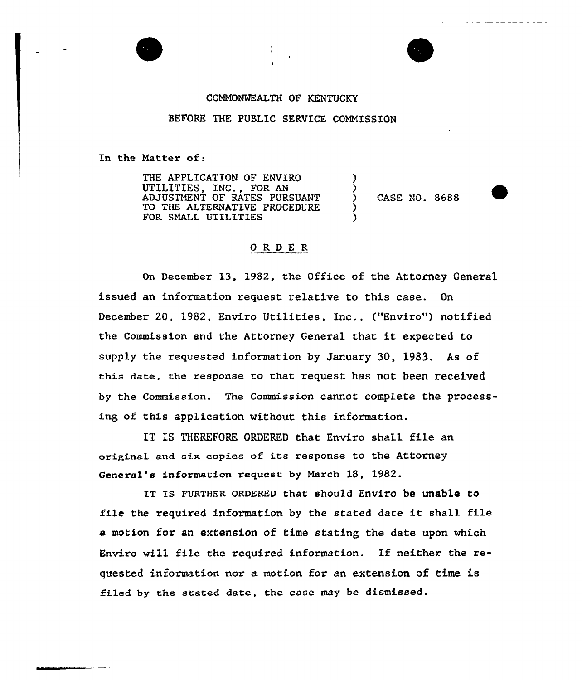## COMMONWEALTH OF KENTUCKY

## BEFORE THE PUBLIC SERVICE COMMISSION

In the Matter of:

THE APPLICATION OF ENVIRO UTILITIES, INC., FOR AN ADJUSTMENT OF RATES PURSUANT TO THE ALTERNATIVE PROCEDURE FOR SMALL UTILITIES

) CASE NO. 8688

) ز<br>?

) )

## ORDER

On December 13, 1982, the Office of the Attorney General issued an information request relative to this case. On December 20, 1982, Enviro Utilities, Inc,, ("Enviro") notified the Commission and the Attorney General that it expected to supply the requested information by January 30, 1983. As of this date, the response to that request has not been received by the Commission. The Commission cannot complete the processing of this application without this information.

IT IS THEREFORE ORDERED that Enviro shall file an ariginal and six copies of its response to the Attorney General's information request by March 18, 1982.

IT Is FURTHER oRDERED that should Enviro be unable to file the required information by the stated date it shall file a motion for an extension of time stating the date upon which Enviro will file the xequired information. If neither the requested information nor a motion for an extension of time is filed by the stated date, the case may be dismissed.